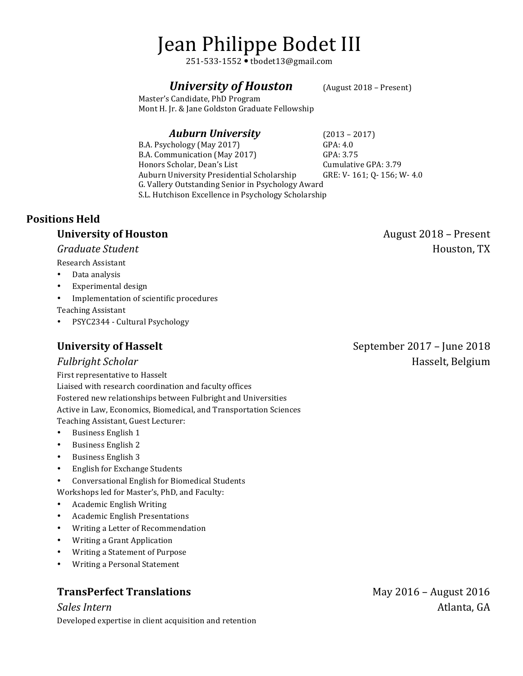# Jean Philippe Bodet III

251-533-1552 tbodet13@gmail.com

## *University of Houston* (August 2018 – Present)

Master's Candidate, PhD Program Mont H. Jr. & Jane Goldston Graduate Fellowship

#### *Auburn University* (2013 – 2017)

B.A. Psychology (May 2017) GPA: 4.0 B.A. Communication (May 2017) GPA: 3.75 Honors Scholar, Dean's List Cumulative GPA: 3.79 Auburn University Presidential Scholarship GRE: V-161; 0-156; W-4.0 G. Vallery Outstanding Senior in Psychology Award S.L. Hutchison Excellence in Psychology Scholarship

## **Positions Held**

## **University of Houston**

#### *Graduate Student*

Research Assistant

- Data analysis
- Experimental design
- Implementation of scientific procedures

Teaching Assistant

• PSYC2344 - Cultural Psychology

## **University of Hasselt**

#### *Fulbright Scholar*

First representative to Hasselt Liaised with research coordination and faculty offices Fostered new relationships between Fulbright and Universities Active in Law, Economics, Biomedical, and Transportation Sciences Teaching Assistant, Guest Lecturer:

- Business English 1
- Business English 2
- Business English 3
- English for Exchange Students
- Conversational English for Biomedical Students

Workshops led for Master's, PhD, and Faculty:

- Academic English Writing
- Academic English Presentations
- Writing a Letter of Recommendation
- Writing a Grant Application
- Writing a Statement of Purpose
- Writing a Personal Statement

# **TransPerfect Translations**

*Sales Intern* Developed expertise in client acquisition and retention September 2017 – June 2018

August 2018 – Present

Houston, TX

Hasselt, Belgium

May 2016 - August 2016 Atlanta. GA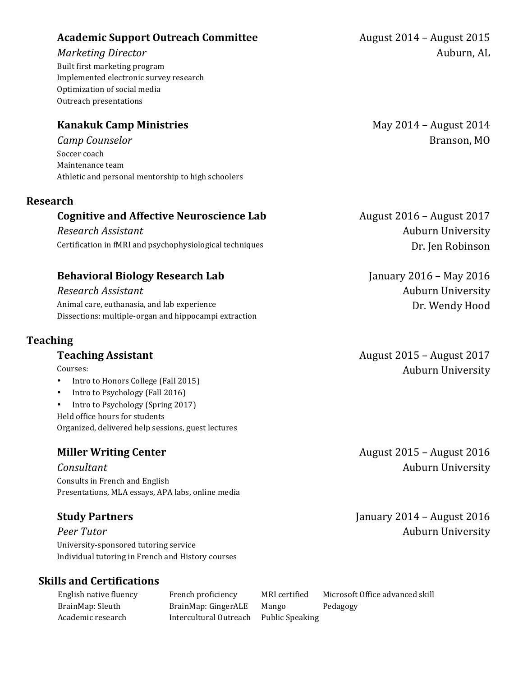## **Academic Support Outreach Committee**

## *Marketing Director*

Built first marketing program Implemented electronic survey research Optimization of social media Outreach presentations

# **Kanakuk Camp Ministries**

*Camp Counselor* Soccer coach Maintenance team Athletic and personal mentorship to high schoolers

## **Research**

## **Cognitive and Affective Neuroscience Lab**

*Research Assistant* Certification in fMRI and psychophysiological techniques

# **Behavioral Biology Research Lab**

*Research Assistant* Animal care, euthanasia, and lab experience Dissections: multiple-organ and hippocampi extraction

## **Teaching**

## **Teaching Assistant**

Courses: 

- Intro to Honors College (Fall 2015)
- Intro to Psychology (Fall 2016)
- Intro to Psychology (Spring 2017) Held office hours for students Organized, delivered help sessions, guest lectures

# **Miller Writing Center**

#### *Consultant*

Consults in French and English Presentations, MLA essays, APA labs, online media

# **Study Partners**

*Peer Tutor* University-sponsored tutoring service Individual tutoring in French and History courses

# **Skills and Certifications**

Academic research Thercultural Outreach Public Speaking

English native fluency French proficiency MRI certified Microsoft Office advanced skill BrainMap: Sleuth BrainMap: GingerALE Mango Pedagogy

August 2014 – August 2015 Auburn, AL

> May 2014 - August 2014 Branson, MO

August 2016 – August 2017 Auburn University Dr. Jen Robinson

January  $2016$  – May  $2016$ **Auburn University** Dr. Wendy Hood

August 2015 – August 2017 Auburn University

August 2015 - August 2016 Auburn University

January  $2014$  – August  $2016$ **Auburn University**